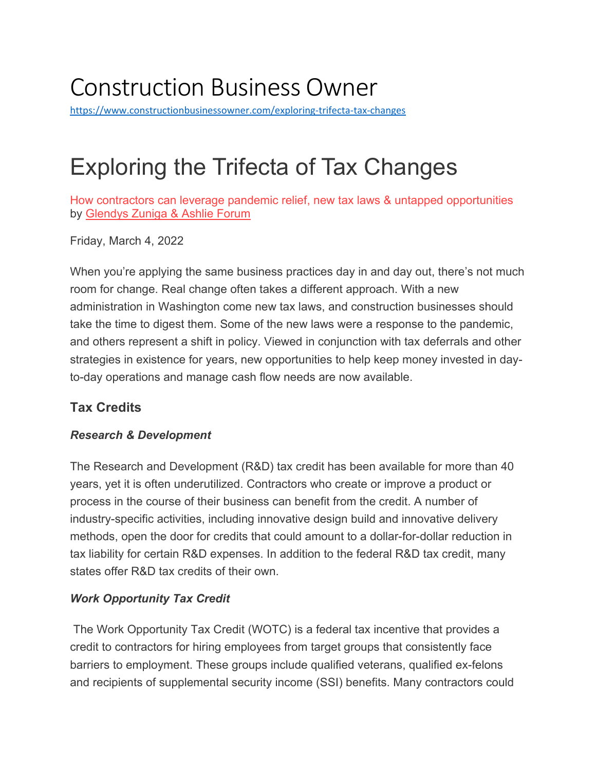# Construction Business Owner

<https://www.constructionbusinessowner.com/exploring-trifecta-tax-changes>

# Exploring the Trifecta of Tax Changes

How contractors can leverage pandemic relief, new tax laws & untapped opportunities by [Glendys Zuniga & Ashlie Forum](https://www.constructionbusinessowner.com/author/glendys-zuniga-ashlie-forum)

Friday, March 4, 2022

When you're applying the same business practices day in and day out, there's not much room for change. Real change often takes a different approach. With a new administration in Washington come new tax laws, and construction businesses should take the time to digest them. Some of the new laws were a response to the pandemic, and others represent a shift in policy. Viewed in conjunction with tax deferrals and other strategies in existence for years, new opportunities to help keep money invested in dayto-day operations and manage cash flow needs are now available.

# **Tax Credits**

# *Research & Development*

The Research and Development (R&D) tax credit has been available for more than 40 years, yet it is often underutilized. Contractors who create or improve a product or process in the course of their business can benefit from the credit. A number of industry-specific activities, including innovative design build and innovative delivery methods, open the door for credits that could amount to a dollar-for-dollar reduction in tax liability for certain R&D expenses. In addition to the federal R&D tax credit, many states offer R&D tax credits of their own.

# *Work Opportunity Tax Credit*

The Work Opportunity Tax Credit (WOTC) is a federal tax incentive that provides a credit to contractors for hiring employees from target groups that consistently face barriers to employment. These groups include qualified veterans, qualified ex-felons and recipients of supplemental security income (SSI) benefits. Many contractors could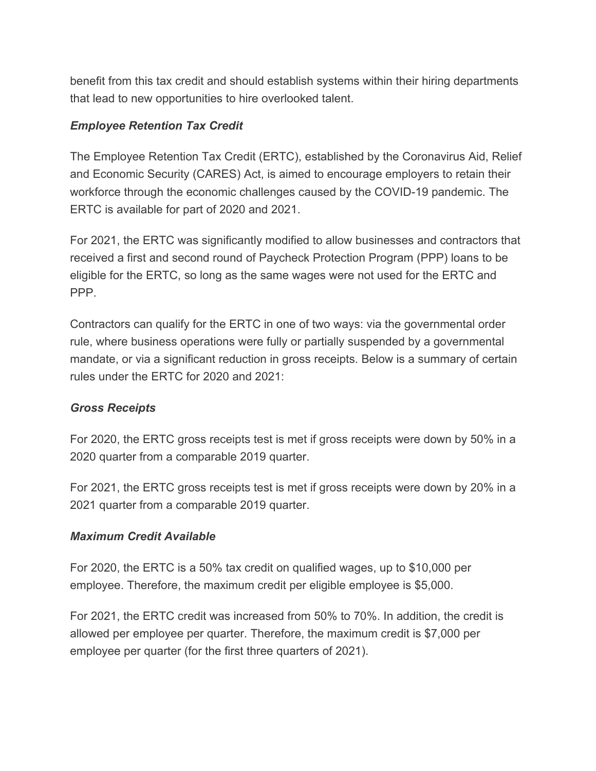benefit from this tax credit and should establish systems within their hiring departments that lead to new opportunities to hire overlooked talent.

#### *Employee Retention Tax Credit*

The Employee Retention Tax Credit (ERTC), established by the Coronavirus Aid, Relief and Economic Security (CARES) Act, is aimed to encourage employers to retain their workforce through the economic challenges caused by the COVID-19 pandemic. The ERTC is available for part of 2020 and 2021.

For 2021, the ERTC was significantly modified to allow businesses and contractors that received a first and second round of Paycheck Protection Program (PPP) loans to be eligible for the ERTC, so long as the same wages were not used for the ERTC and PPP.

Contractors can qualify for the ERTC in one of two ways: via the governmental order rule, where business operations were fully or partially suspended by a governmental mandate, or via a significant reduction in gross receipts. Below is a summary of certain rules under the ERTC for 2020 and 2021:

#### *Gross Receipts*

For 2020, the ERTC gross receipts test is met if gross receipts were down by 50% in a 2020 quarter from a comparable 2019 quarter.

For 2021, the ERTC gross receipts test is met if gross receipts were down by 20% in a 2021 quarter from a comparable 2019 quarter.

#### *Maximum Credit Available*

For 2020, the ERTC is a 50% tax credit on qualified wages, up to \$10,000 per employee. Therefore, the maximum credit per eligible employee is \$5,000.

For 2021, the ERTC credit was increased from 50% to 70%. In addition, the credit is allowed per employee per quarter. Therefore, the maximum credit is \$7,000 per employee per quarter (for the first three quarters of 2021).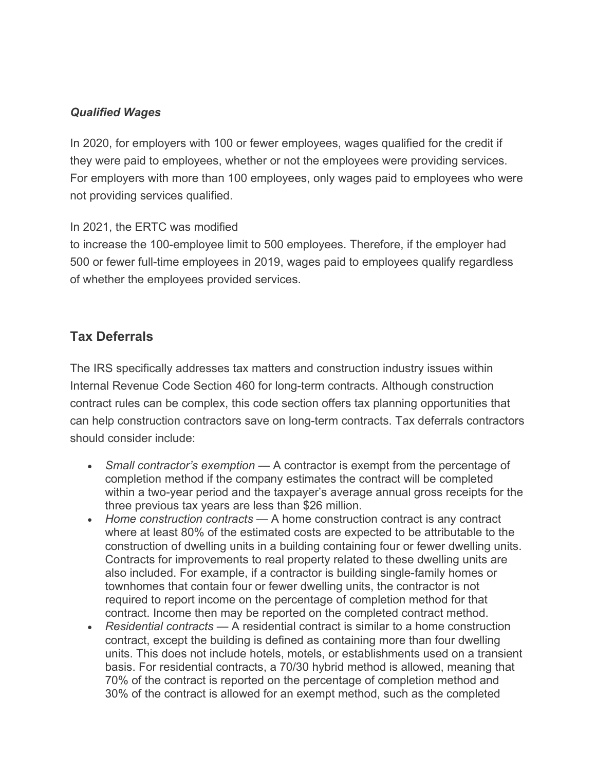### *Qualified Wages*

In 2020, for employers with 100 or fewer employees, wages qualified for the credit if they were paid to employees, whether or not the employees were providing services. For employers with more than 100 employees, only wages paid to employees who were not providing services qualified.

#### In 2021, the ERTC was modified

to increase the 100-employee limit to 500 employees. Therefore, if the employer had 500 or fewer full-time employees in 2019, wages paid to employees qualify regardless of whether the employees provided services.

# **Tax Deferrals**

The IRS specifically addresses tax matters and construction industry issues within Internal Revenue Code Section 460 for long-term contracts. Although construction contract rules can be complex, this code section offers tax planning opportunities that can help construction contractors save on long-term contracts. Tax deferrals contractors should consider include:

- *Small contractor's exemption* A contractor is exempt from the percentage of completion method if the company estimates the contract will be completed within a two-year period and the taxpayer's average annual gross receipts for the three previous tax years are less than \$26 million.
- *Home construction contracts* A home construction contract is any contract where at least 80% of the estimated costs are expected to be attributable to the construction of dwelling units in a building containing four or fewer dwelling units. Contracts for improvements to real property related to these dwelling units are also included. For example, if a contractor is building single-family homes or townhomes that contain four or fewer dwelling units, the contractor is not required to report income on the percentage of completion method for that contract. Income then may be reported on the completed contract method.
- *Residential contracts* A residential contract is similar to a home construction contract, except the building is defined as containing more than four dwelling units. This does not include hotels, motels, or establishments used on a transient basis. For residential contracts, a 70/30 hybrid method is allowed, meaning that 70% of the contract is reported on the percentage of completion method and 30% of the contract is allowed for an exempt method, such as the completed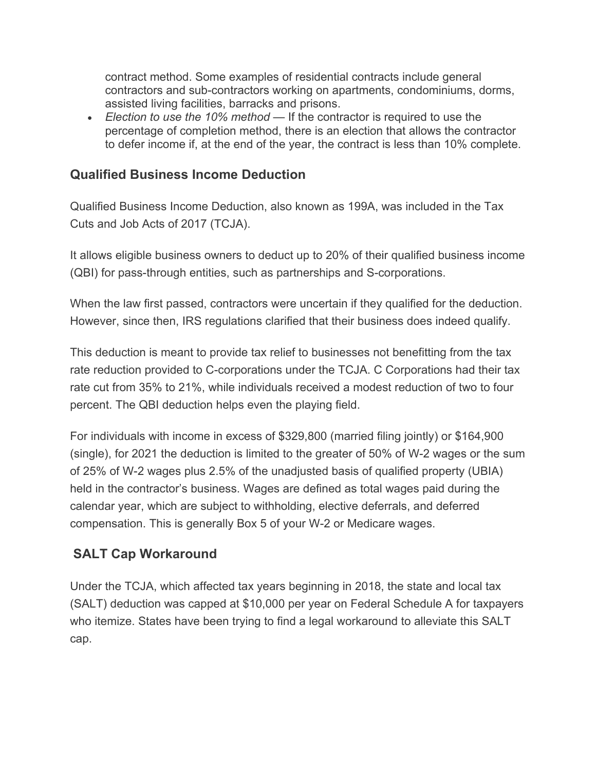contract method. Some examples of residential contracts include general contractors and sub-contractors working on apartments, condominiums, dorms, assisted living facilities, barracks and prisons.

• *Election to use the 10% method* — If the contractor is required to use the percentage of completion method, there is an election that allows the contractor to defer income if, at the end of the year, the contract is less than 10% complete.

# **Qualified Business Income Deduction**

Qualified Business Income Deduction, also known as 199A, was included in the Tax Cuts and Job Acts of 2017 (TCJA).

It allows eligible business owners to deduct up to 20% of their qualified business income (QBI) for pass-through entities, such as partnerships and S-corporations.

When the law first passed, contractors were uncertain if they qualified for the deduction. However, since then, IRS regulations clarified that their business does indeed qualify.

This deduction is meant to provide tax relief to businesses not benefitting from the tax rate reduction provided to C-corporations under the TCJA. C Corporations had their tax rate cut from 35% to 21%, while individuals received a modest reduction of two to four percent. The QBI deduction helps even the playing field.

For individuals with income in excess of \$329,800 (married filing jointly) or \$164,900 (single), for 2021 the deduction is limited to the greater of 50% of W-2 wages or the sum of 25% of W-2 wages plus 2.5% of the unadjusted basis of qualified property (UBIA) held in the contractor's business. Wages are defined as total wages paid during the calendar year, which are subject to withholding, elective deferrals, and deferred compensation. This is generally Box 5 of your W-2 or Medicare wages.

# **SALT Cap Workaround**

Under the TCJA, which affected tax years beginning in 2018, the state and local tax (SALT) deduction was capped at \$10,000 per year on Federal Schedule A for taxpayers who itemize. States have been trying to find a legal workaround to alleviate this SALT cap.